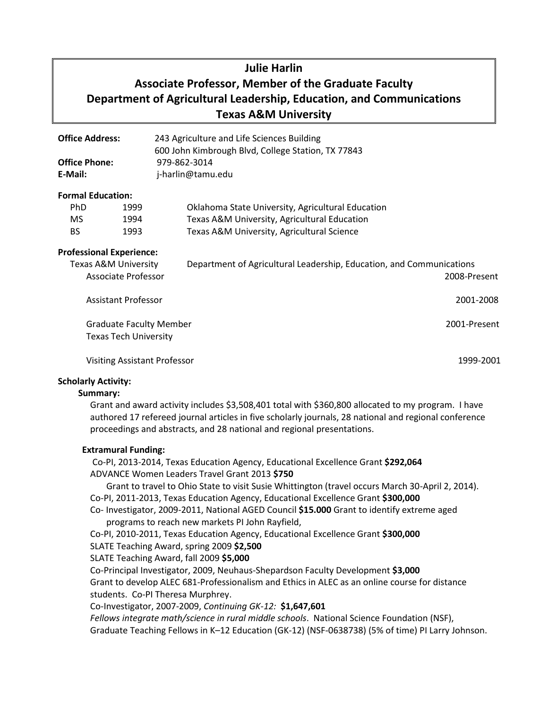# **Julie Harlin Associate Professor, Member of the Graduate Faculty Department of Agricultural Leadership, Education, and Communications Texas A&M University**

| <b>Office Address:</b><br><b>Office Phone:</b><br>E-Mail: |                                     | 243 Agriculture and Life Sciences Building<br>600 John Kimbrough Blvd, College Station, TX 77843 |              |
|-----------------------------------------------------------|-------------------------------------|--------------------------------------------------------------------------------------------------|--------------|
|                                                           |                                     | 979-862-3014<br>j-harlin@tamu.edu                                                                |              |
|                                                           |                                     |                                                                                                  |              |
| <b>PhD</b>                                                | 1999                                | Oklahoma State University, Agricultural Education                                                |              |
| MS.                                                       | 1994                                | Texas A&M University, Agricultural Education                                                     |              |
| BS.                                                       | 1993                                | Texas A&M University, Agricultural Science                                                       |              |
|                                                           | <b>Professional Experience:</b>     |                                                                                                  |              |
| <b>Texas A&amp;M University</b>                           |                                     | Department of Agricultural Leadership, Education, and Communications                             |              |
| Associate Professor                                       |                                     |                                                                                                  | 2008-Present |
|                                                           | <b>Assistant Professor</b>          |                                                                                                  | 2001-2008    |
| <b>Graduate Faculty Member</b>                            |                                     |                                                                                                  | 2001-Present |
|                                                           | <b>Texas Tech University</b>        |                                                                                                  |              |
|                                                           | <b>Visiting Assistant Professor</b> |                                                                                                  | 1999-2001    |

#### **Scholarly Activity:**

#### **Summary:**

Grant and award activity includes \$3,508,401 total with \$360,800 allocated to my program. I have authored 17 refereed journal articles in five scholarly journals, 28 national and regional conference proceedings and abstracts, and 28 national and regional presentations.

## **Extramural Funding:**

Co-PI, 2013-2014, Texas Education Agency, Educational Excellence Grant **\$292,064** ADVANCE Women Leaders Travel Grant 2013 **\$750**

Grant to travel to Ohio State to visit Susie Whittington (travel occurs March 30-April 2, 2014). Co-PI, 2011-2013, Texas Education Agency, Educational Excellence Grant **\$300,000**

## Co- Investigator, 2009-2011, National AGED Council **\$15.000** Grant to identify extreme aged programs to reach new markets PI John Rayfield,

Co-PI, 2010-2011, Texas Education Agency, Educational Excellence Grant **\$300,000**

SLATE Teaching Award, spring 2009 **\$2,500**

SLATE Teaching Award, fall 2009 **\$5,000**

Co-Principal Investigator, 2009, Neuhaus-Shepardson Faculty Development **\$3,000**

Grant to develop ALEC 681-Professionalism and Ethics in ALEC as an online course for distance students. Co-PI Theresa Murphrey.

Co-Investigator, 2007-2009, *Continuing GK-12:* **\$1,647,601**

*Fellows integrate math/science in rural middle schools*. National Science Foundation (NSF), Graduate Teaching Fellows in K–12 Education (GK-12) (NSF-0638738) (5% of time) PI Larry Johnson.